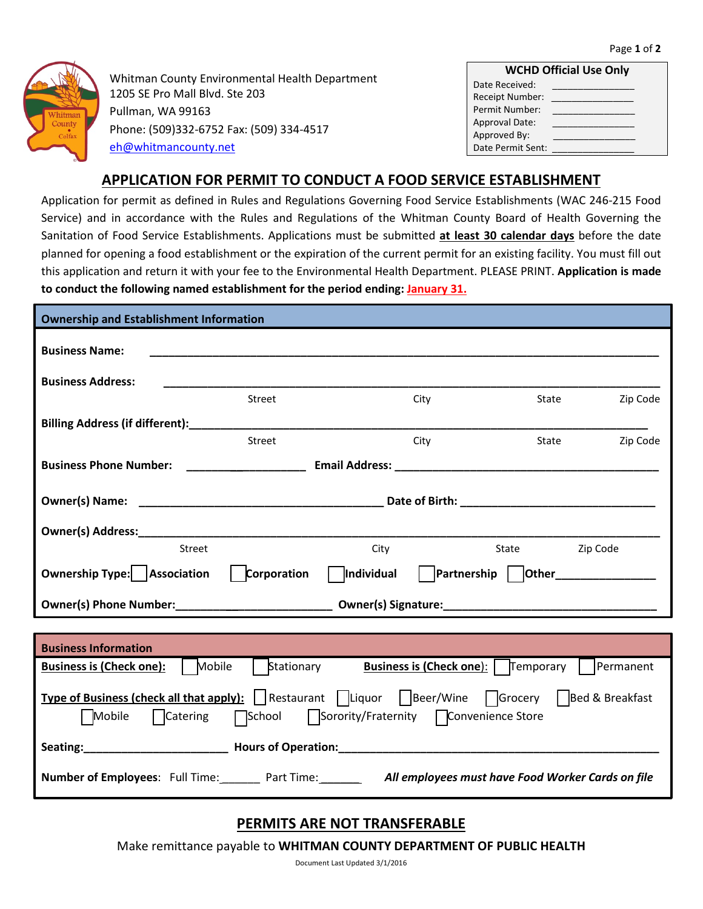

Whitman County Environmental Health Department 1205 SE Pro Mall Blvd. Ste 203 Pullman, WA 99163 Phone: (509)332-6752 Fax: (509) 334-4517 [eh@whitmancounty.net](mailto:eh@whitmancounty.net)

| <b>WCHD Official Use Only</b> |  |  |
|-------------------------------|--|--|
| Date Received:                |  |  |
| Receipt Number:               |  |  |
| Permit Number:                |  |  |
| <b>Approval Date:</b>         |  |  |
| Approved By:                  |  |  |
| Date Permit Sent:             |  |  |

## **APPLICATION FOR PERMIT TO CONDUCT A FOOD SERVICE ESTABLISHMENT**

Application for permit as defined in Rules and Regulations Governing Food Service Establishments (WAC 246-215 Food Service) and in accordance with the Rules and Regulations of the Whitman County Board of Health Governing the Sanitation of Food Service Establishments. Applications must be submitted **at least 30 calendar days** before the date planned for opening a food establishment or the expiration of the current permit for an existing facility. You must fill out this application and return it with your fee to the Environmental Health Department. PLEASE PRINT. **Application is made to conduct the following named establishment for the period ending: January 31.**

| <b>Ownership and Establishment Information</b>                                                                                                                                          |      |                |          |  |
|-----------------------------------------------------------------------------------------------------------------------------------------------------------------------------------------|------|----------------|----------|--|
| <b>Business Name:</b>                                                                                                                                                                   |      |                |          |  |
| <b>Business Address:</b>                                                                                                                                                                |      |                |          |  |
| Street                                                                                                                                                                                  | City | State          | Zip Code |  |
|                                                                                                                                                                                         |      |                |          |  |
| Street                                                                                                                                                                                  | City | State          | Zip Code |  |
|                                                                                                                                                                                         |      |                |          |  |
|                                                                                                                                                                                         |      |                |          |  |
|                                                                                                                                                                                         |      |                |          |  |
| Street                                                                                                                                                                                  | City | State Zip Code |          |  |
| Ownership Type: Association   Corporation   Individual   Partnership   Other___________                                                                                                 |      |                |          |  |
|                                                                                                                                                                                         |      |                |          |  |
|                                                                                                                                                                                         |      |                |          |  |
| <b>Business Information</b>                                                                                                                                                             |      |                |          |  |
| <b>Business is (Check one):</b>   Mobile<br>Stationary <b>Business is (Check one)</b> :   Temporary   Permanent                                                                         |      |                |          |  |
| <b>Type of Business (check all that apply):</b>   Restaurant   Liquor   Beer/Wine   Grocery   Bed & Breakfast<br>  Mobile   Catering   School   Sorority/Fraternity   Convenience Store |      |                |          |  |
|                                                                                                                                                                                         |      |                |          |  |
| Number of Employees: Full Time: Part Time: All employees must have Food Worker Cards on file                                                                                            |      |                |          |  |

## **PERMITS ARE NOT TRANSFERABLE**

Make remittance payable to **WHITMAN COUNTY DEPARTMENT OF PUBLIC HEALTH**